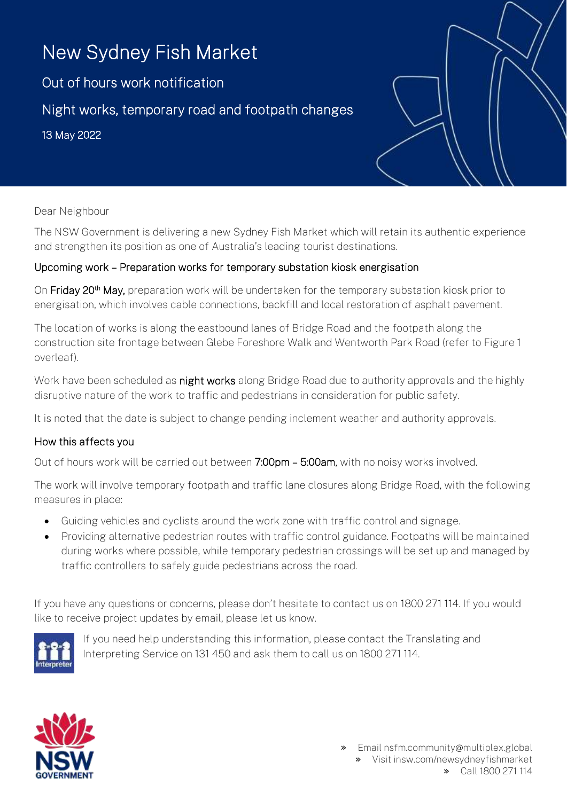# New Sydney Fish Market

Out of hours work notification Night works, temporary road and footpath changes 13 May 2022

#### Dear Neighbour

The NSW Government is delivering a new Sydney Fish Market which will retain its authentic experience and strengthen its position as one of Australia's leading tourist destinations.

#### Upcoming work – Preparation works for temporary substation kiosk energisation

On Friday 20<sup>th</sup> May, preparation work will be undertaken for the temporary substation kiosk prior to energisation, which involves cable connections, backfill and local restoration of asphalt pavement.

The location of works is along the eastbound lanes of Bridge Road and the footpath along the construction site frontage between Glebe Foreshore Walk and Wentworth Park Road (refer to Figure 1 overleaf).

Work have been scheduled as night works along Bridge Road due to authority approvals and the highly disruptive nature of the work to traffic and pedestrians in consideration for public safety.

It is noted that the date is subject to change pending inclement weather and authority approvals.

### How this affects you

Out of hours work will be carried out between 7:00pm - 5:00am, with no noisy works involved.

The work will involve temporary footpath and traffic lane closures along Bridge Road, with the following measures in place:

- Guiding vehicles and cyclists around the work zone with traffic control and signage.
- Providing alternative pedestrian routes with traffic control guidance. Footpaths will be maintained during works where possible, while temporary pedestrian crossings will be set up and managed by traffic controllers to safely guide pedestrians across the road.

If you have any questions or concerns, please don't hesitate to contact us on 1800 271 114. If you would like to receive project updates by email, please let us know.



If you need help understanding this information, please contact the Translating and Interpreting Service on 131 450 and ask them to call us on 1800 271 114.



» Email nsfm.community@multiplex.global » Visit insw.com/newsydneyfishmarket » Call 1800 271 114